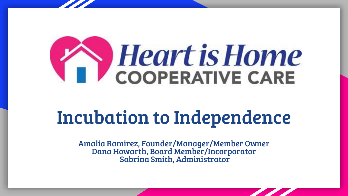

# Incubation to Independence

Amalia Ramirez, Founder/Manager/Member Owner Dana Howarth, Board Member/Incorporator Sabrina Smith, Administrator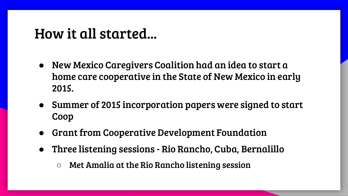### How it all started...

- New Mexico Caregivers Coalition had an idea to start a home care cooperative in the State of New Mexico in early 2015.
- Summer of 2015 incorporation papers were signed to start Coop
- **Grant from Cooperative Development Foundation**
- Three listening sessions Rio Rancho, Cuba, Bernalillo
	- Met Amalia at the Rio Rancho listening session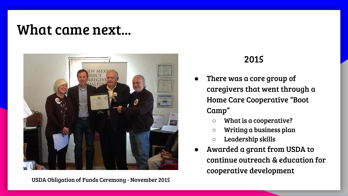### What came next...



USDA Obligation of Funds Ceremony - November 2015

- There was a core group of caregivers that went through a Home Care Cooperative "Boot Camp"
	- What is a cooperative?
	- Writing a business plan
	- Leadership skills
- Awarded a grant from USDA to continue outreach & education for cooperative development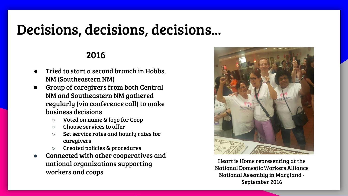## Decisions, decisions, decisions...

- Tried to start a second branch in Hobbs, NM (Southeastern NM)
- Group of caregivers from both Central NM and Southeastern NM gathered regularly (via conference call) to make business decisions
	- Voted on name & logo for Coop
	- Choose services to offer
	- Set service rates and hourly rates for caregivers
	- Created policies & procedures
- Connected with other cooperatives and national organizations supporting workers and coops



Heart is Home representing at the National Domestic Workers Alliance National Assembly in Maryland - September 2016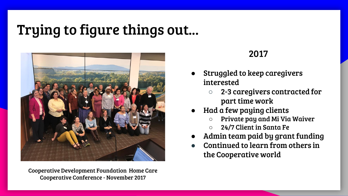## Trying to figure things out...



Cooperative Development Foundation Home Care Cooperative Conference - November 2017

- Struggled to keep caregivers interested
	- 2-3 caregivers contracted for part time work
- Had a few paying clients
	- Private pay and Mi Via Waiver
	- 24/7 Client in Santa Fe
- Admin team paid by grant funding
- Continued to learn from others in the Cooperative world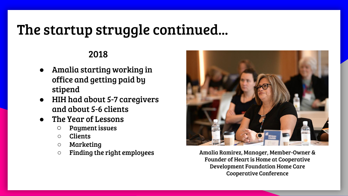## The startup struggle continued...

- Amalia starting working in office and getting paid by stipend
- HIH had about 5-7 caregivers and about 5-6 clients
- The Year of Lessons
	- Payment issues
	- Clients
	- Marketing
	- Finding the right employees



Amalia Ramirez, Manager, Member-Owner & Founder of Heart is Home at Cooperative Development Foundation Home Care Cooperative Conference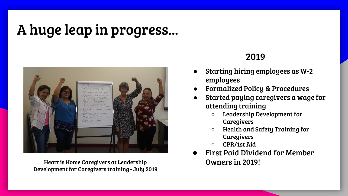## A huge leap in progress...



Heart is Home Caregivers at Leadership Development for Caregivers training - July 2019

- Starting hiring employees as W-2 employees
- **Formalized Policy & Procedures**
- Started paying caregivers a wage for attending training
	- Leadership Development for Caregivers
	- Health and Safety Training for Caregivers
	- CPR/1st Aid
- First Paid Dividend for Member Owners in 2019!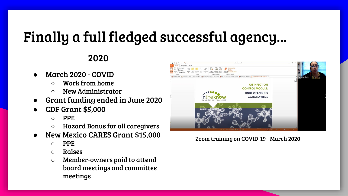## Finally a full fledged successful agency...

2020

- March 2020 COVID
	- Work from home
	- New Administrator
- Grant funding ended in June 2020
- CDF Grant \$5,000
	- PPE
	- Hazard Bonus for all caregivers
- New Mexico CARES Grant \$15,000
	- $\circ$  PPF.
	- Raises
	- Member-owners paid to attend board meetings and committee meetings



Zoom training on COVID-19 - March 2020